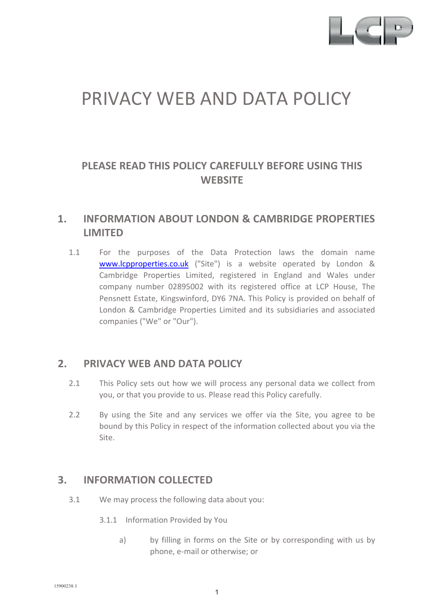

# PRIVACY WEB AND DATA POLICY

# **PLEASE READ THIS POLICY CAREFULLY BEFORE USING THIS WEBSITE**

# **1. INFORMATION ABOUT LONDON & CAMBRIDGE PROPERTIES LIMITED**

1.1 For the purposes of the Data Protection laws the domain name [www.lcpproperties.co.uk](http://www.lcpproperties.co.uk/) ("Site") is a website operated by London & Cambridge Properties Limited, registered in England and Wales under company number 02895002 with its registered office at LCP House, The Pensnett Estate, Kingswinford, DY6 7NA. This Policy is provided on behalf of London & Cambridge Properties Limited and its subsidiaries and associated companies ("We" or "Our").

### **2. PRIVACY WEB AND DATA POLICY**

- 2.1 This Policy sets out how we will process any personal data we collect from you, or that you provide to us. Please read this Policy carefully.
- 2.2 By using the Site and any services we offer via the Site, you agree to be bound by this Policy in respect of the information collected about you via the Site.

### **3. INFORMATION COLLECTED**

- 3.1 We may process the following data about you:
	- 3.1.1 Information Provided by You
		- a) by filling in forms on the Site or by corresponding with us by phone, e-mail or otherwise; or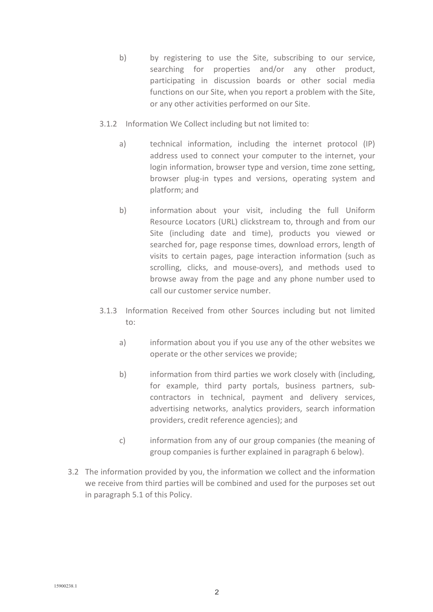- b) by registering to use the Site, subscribing to our service, searching for properties and/or any other product, participating in discussion boards or other social media functions on our Site, when you report a problem with the Site, or any other activities performed on our Site.
- 3.1.2 Information We Collect including but not limited to:
	- a) technical information, including the internet protocol (IP) address used to connect your computer to the internet, your login information, browser type and version, time zone setting, browser plug-in types and versions, operating system and platform; and
	- b) information about your visit, including the full Uniform Resource Locators (URL) clickstream to, through and from our Site (including date and time), products you viewed or searched for, page response times, download errors, length of visits to certain pages, page interaction information (such as scrolling, clicks, and mouse-overs), and methods used to browse away from the page and any phone number used to call our customer service number.
- 3.1.3 Information Received from other Sources including but not limited to:
	- a) information about you if you use any of the other websites we operate or the other services we provide;
	- b) information from third parties we work closely with (including, for example, third party portals, business partners, subcontractors in technical, payment and delivery services, advertising networks, analytics providers, search information providers, credit reference agencies); and
	- c) information from any of our group companies (the meaning of group companies is further explained in paragraph 6 below).
- 3.2 The information provided by you, the information we collect and the information we receive from third parties will be combined and used for the purposes set out in paragraph 5.1 of this Policy.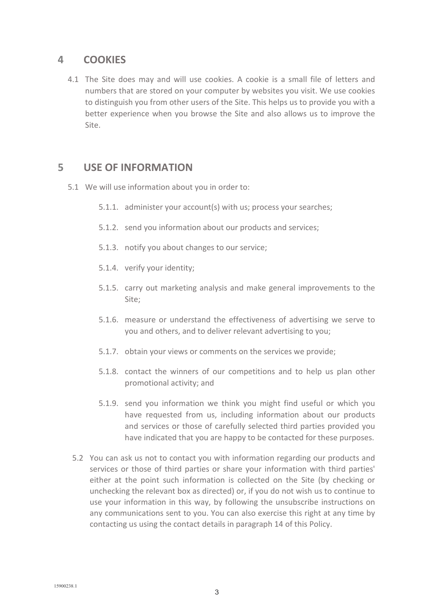## **4 COOKIES**

4.1 The Site does may and will use cookies. A cookie is a small file of letters and numbers that are stored on your computer by websites you visit. We use cookies to distinguish you from other users of the Site. This helps us to provide you with a better experience when you browse the Site and also allows us to improve the Site.

# **5 USE OF INFORMATION**

- 5.1 We will use information about you in order to:
	- 5.1.1. administer your account(s) with us; process your searches;
	- 5.1.2. send you information about our products and services;
	- 5.1.3. notify you about changes to our service;
	- 5.1.4. verify your identity;
	- 5.1.5. carry out marketing analysis and make general improvements to the Site;
	- 5.1.6. measure or understand the effectiveness of advertising we serve to you and others, and to deliver relevant advertising to you;
	- 5.1.7. obtain your views or comments on the services we provide;
	- 5.1.8. contact the winners of our competitions and to help us plan other promotional activity; and
	- 5.1.9. send you information we think you might find useful or which you have requested from us, including information about our products and services or those of carefully selected third parties provided you have indicated that you are happy to be contacted for these purposes.
	- 5.2 You can ask us not to contact you with information regarding our products and services or those of third parties or share your information with third parties' either at the point such information is collected on the Site (by checking or unchecking the relevant box as directed) or, if you do not wish us to continue to use your information in this way, by following the unsubscribe instructions on any communications sent to you. You can also exercise this right at any time by contacting us using the contact details in paragraph 14 of this Policy.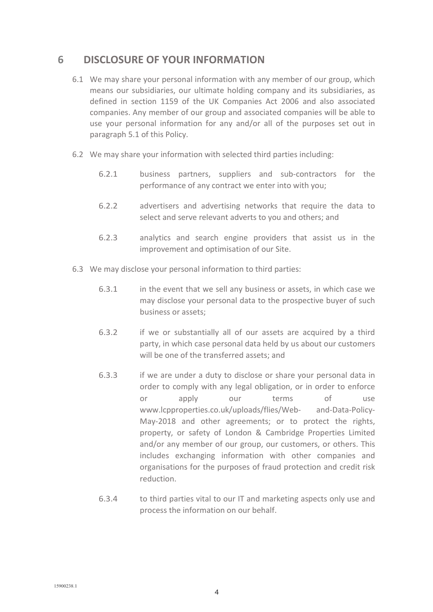## **6 DISCLOSURE OF YOUR INFORMATION**

- 6.1 We may share your personal information with any member of our group, which means our subsidiaries, our ultimate holding company and its subsidiaries, as defined in section 1159 of the UK Companies Act 2006 and also associated companies. Any member of our group and associated companies will be able to use your personal information for any and/or all of the purposes set out in paragraph 5.1 of this Policy.
- 6.2 We may share your information with selected third parties including:
	- 6.2.1 business partners, suppliers and sub-contractors for the performance of any contract we enter into with you;
	- 6.2.2 advertisers and advertising networks that require the data to select and serve relevant adverts to you and others; and
	- 6.2.3 analytics and search engine providers that assist us in the improvement and optimisation of our Site.
- 6.3 We may disclose your personal information to third parties:
	- 6.3.1 in the event that we sell any business or assets, in which case we may disclose your personal data to the prospective buyer of such business or assets;
	- 6.3.2 if we or substantially all of our assets are acquired by a third party, in which case personal data held by us about our customers will be one of the transferred assets; and
	- 6.3.3 if we are under a duty to disclose or share your personal data in order to comply with any legal obligation, or in order to enforce or apply our terms of use [www.lcpproperties.co.uk/uploads/flies/Web-](http://www.lcpproperties.co.uk/uploads/flies/Web) and-Data-Policy-May-2018 and other agreements; or to protect the rights, property, or safety of London & Cambridge Properties Limited and/or any member of our group, our customers, or others. This includes exchanging information with other companies and organisations for the purposes of fraud protection and credit risk reduction.
	- 6.3.4 to third parties vital to our IT and marketing aspects only use and process the information on our behalf.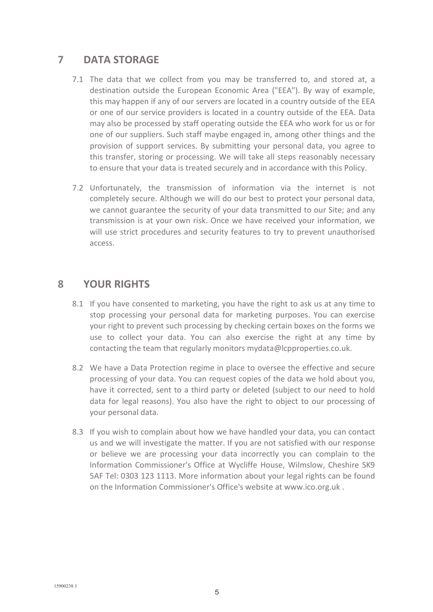# **7 DATA STORAGE**

- 7.1 The data that we collect from you may be transferred to, and stored at, a destination outside the European Economic Area ("EEA"). By way of example, this may happen if any of our servers are located in a country outside of the EEA or one of our service providers is located in a country outside of the EEA. Data may also be processed by staff operating outside the EEA who work for us or for one of our suppliers. Such staff maybe engaged in, among other things and the provision of support services. By submitting your personal data, you agree to this transfer, storing or processing. We will take all steps reasonably necessary to ensure that your data is treated securely and in accordance with this Policy.
- 7.2 Unfortunately, the transmission of information via the internet is not completely secure. Although we will do our best to protect your personal data, we cannot guarantee the security of your data transmitted to our Site; and any transmission is at your own risk. Once we have received your information, we will use strict procedures and security features to try to prevent unauthorised access.

### **8 YOUR RIGHTS**

- 8.1 If you have consented to marketing, you have the right to ask us at any time to stop processing your personal data for marketing purposes. You can exercise your right to prevent such processing by checking certain boxes on the forms we use to collect your data. You can also exercise the right at any time by contacting the team that regularly monitors [mydata@lcpproperties.co.uk.](mailto:mydata@lcpproperties.co.uk)
- 8.2 We have a Data Protection regime in place to oversee the effective and secure processing of your data. You can request copies of the data we hold about you, have it corrected, sent to a third party or deleted (subject to our need to hold data for legal reasons). You also have the right to object to our processing of your personal data.
- 8.3 If you wish to complain about how we have handled your data, you can contact us and we will investigate the matter. If you are not satisfied with our response or believe we are processing your data incorrectly you can complain to the Information Commissioner's Office at Wycliffe House, Wilmslow, Cheshire SK9 5AF Tel: 0303 123 1113. More information about your legal rights can be found on the Information Commissioner's Office's website at [www.ico.org.uk](http://www.ico.org.uk/) .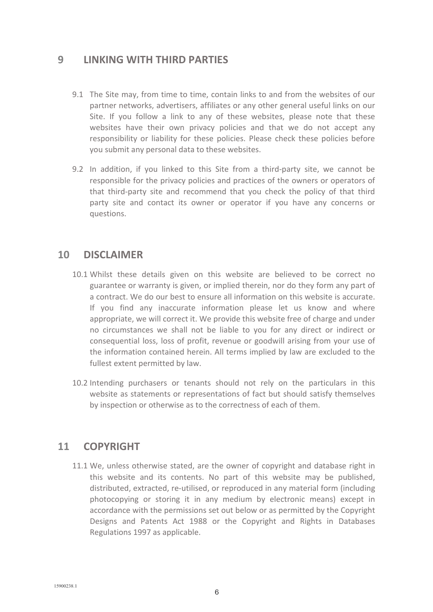## **9 LINKING WITH THIRD PARTIES**

- 9.1 The Site may, from time to time, contain links to and from the websites of our partner networks, advertisers, affiliates or any other general useful links on our Site. If you follow a link to any of these websites, please note that these websites have their own privacy policies and that we do not accept any responsibility or liability for these policies. Please check these policies before you submit any personal data to these websites.
- 9.2 In addition, if you linked to this Site from a third-party site, we cannot be responsible for the privacy policies and practices of the owners or operators of that third-party site and recommend that you check the policy of that third party site and contact its owner or operator if you have any concerns or questions.

## **10 DISCLAIMER**

- 10.1 Whilst these details given on this website are believed to be correct no guarantee or warranty is given, or implied therein, nor do they form any part of a contract. We do our best to ensure all information on this website is accurate. If you find any inaccurate information please let us know and where appropriate, we will correct it. We provide this website free of charge and under no circumstances we shall not be liable to you for any direct or indirect or consequential loss, loss of profit, revenue or goodwill arising from your use of the information contained herein. All terms implied by law are excluded to the fullest extent permitted by law.
- 10.2 Intending purchasers or tenants should not rely on the particulars in this website as statements or representations of fact but should satisfy themselves by inspection or otherwise as to the correctness of each of them.

# **11 COPYRIGHT**

11.1 We, unless otherwise stated, are the owner of copyright and database right in this website and its contents. No part of this website may be published, distributed, extracted, re-utilised, or reproduced in any material form (including photocopying or storing it in any medium by electronic means) except in accordance with the permissions set out below or as permitted by the Copyright Designs and Patents Act 1988 or the Copyright and Rights in Databases Regulations 1997 as applicable.